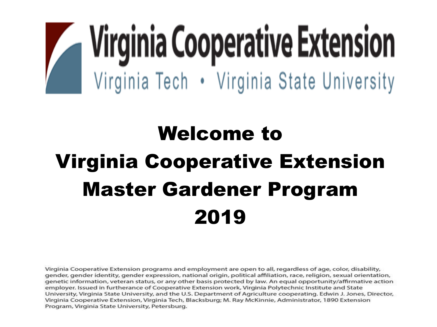# **Virginia Cooperative Extension** Virginia Tech • Virginia State University

### Welcome to Virginia Cooperative Extension Master Gardener Program 2019

Virginia Cooperative Extension programs and employment are open to all, regardless of age, color, disability, gender, gender identity, gender expression, national origin, political affiliation, race, religion, sexual orientation, genetic information, veteran status, or any other basis protected by law. An equal opportunity/affirmative action employer. Issued in furtherance of Cooperative Extension work, Virginia Polytechnic Institute and State University, Virginia State University, and the U.S. Department of Agriculture cooperating. Edwin J. Jones, Director, Virginia Cooperative Extension, Virginia Tech, Blacksburg; M. Ray McKinnie, Administrator, 1890 Extension Program, Virginia State University, Petersburg.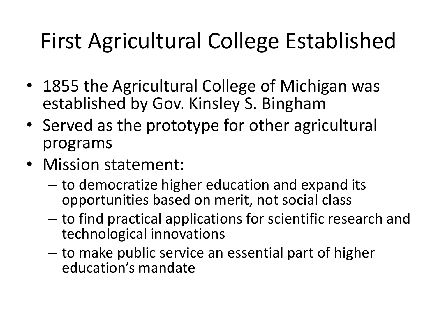### First Agricultural College Established

- 1855 the Agricultural College of Michigan was established by Gov. Kinsley S. Bingham
- Served as the prototype for other agricultural programs
- Mission statement:
	- to democratize higher education and expand its opportunities based on merit, not social class
	- to find practical applications for scientific research and technological innovations
	- to make public service an essential part of higher education's mandate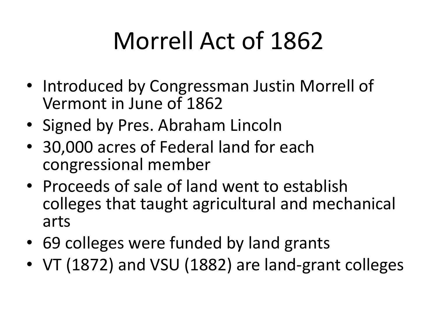## Morrell Act of 1862

- Introduced by Congressman Justin Morrell of Vermont in June of 1862
- Signed by Pres. Abraham Lincoln
- 30,000 acres of Federal land for each congressional member
- Proceeds of sale of land went to establish colleges that taught agricultural and mechanical arts
- 69 colleges were funded by land grants
- VT (1872) and VSU (1882) are land-grant colleges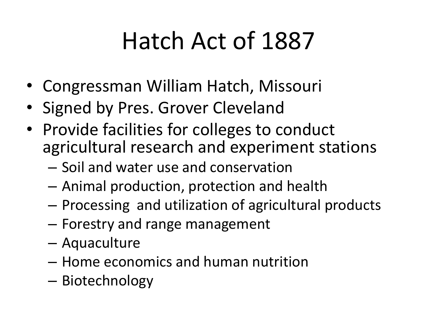### Hatch Act of 1887

- Congressman William Hatch, Missouri
- Signed by Pres. Grover Cleveland
- Provide facilities for colleges to conduct agricultural research and experiment stations
	- Soil and water use and conservation
	- Animal production, protection and health
	- Processing and utilization of agricultural products
	- Forestry and range management
	- Aquaculture
	- Home economics and human nutrition
	- Biotechnology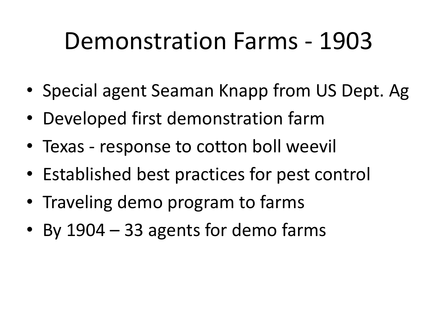### Demonstration Farms - 1903

- Special agent Seaman Knapp from US Dept. Ag
- Developed first demonstration farm
- Texas response to cotton boll weevil
- Established best practices for pest control
- Traveling demo program to farms
- By 1904 33 agents for demo farms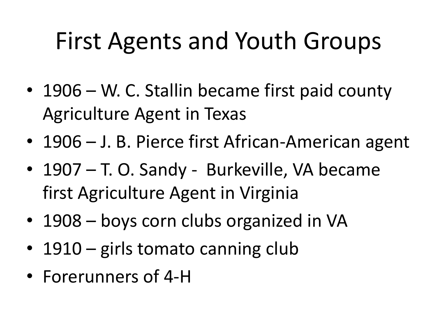### First Agents and Youth Groups

- 1906 W. C. Stallin became first paid county Agriculture Agent in Texas
- 1906 J. B. Pierce first African-American agent
- 1907 T. O. Sandy Burkeville, VA became first Agriculture Agent in Virginia
- 1908 boys corn clubs organized in VA
- 1910 girls tomato canning club
- Forerunners of 4-H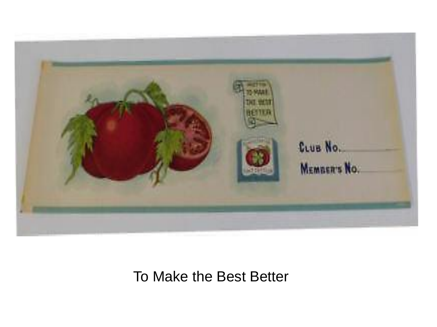

To Make the Best Better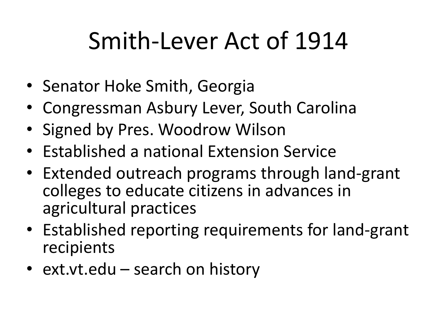### Smith-Lever Act of 1914

- Senator Hoke Smith, Georgia
- Congressman Asbury Lever, South Carolina
- Signed by Pres. Woodrow Wilson
- Established a national Extension Service
- Extended outreach programs through land-grant colleges to educate citizens in advances in agricultural practices
- Established reporting requirements for land-grant recipients
- ext.vt.edu search on history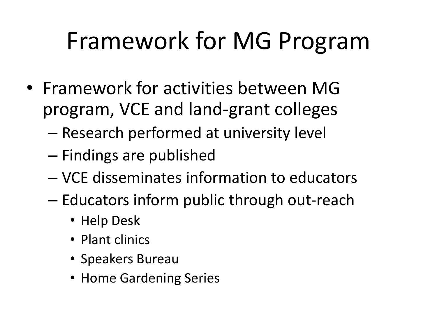### Framework for MG Program

- Framework for activities between MG program, VCE and land-grant colleges
	- Research performed at university level
	- Findings are published
	- VCE disseminates information to educators
	- Educators inform public through out-reach
		- Help Desk
		- Plant clinics
		- Speakers Bureau
		- Home Gardening Series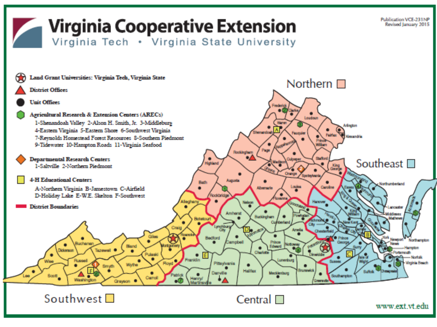### **Virginia Cooperative Extension**

Virginia Tech . Virginia State University



Southwest  $\square$ 

#### Central  $\Box$

www.ext.vt.edu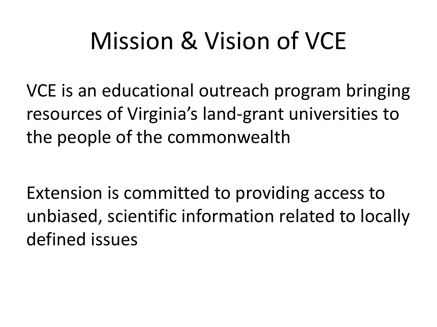### Mission & Vision of VCE

VCE is an educational outreach program bringing resources of Virginia's land-grant universities to the people of the commonwealth

Extension is committed to providing access to unbiased, scientific information related to locally defined issues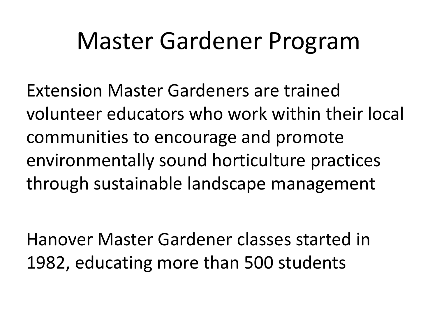### Master Gardener Program

Extension Master Gardeners are trained volunteer educators who work within their local communities to encourage and promote environmentally sound horticulture practices through sustainable landscape management

Hanover Master Gardener classes started in 1982, educating more than 500 students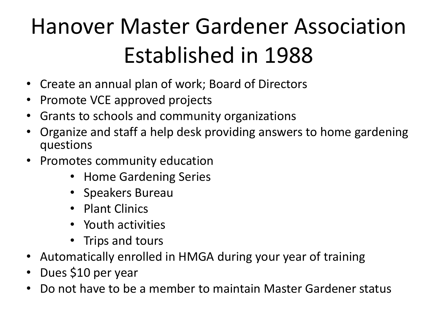### Hanover Master Gardener Association Established in 1988

- Create an annual plan of work; Board of Directors
- Promote VCE approved projects
- Grants to schools and community organizations
- Organize and staff a help desk providing answers to home gardening questions
- Promotes community education
	- Home Gardening Series
	- Speakers Bureau
	- Plant Clinics
	- Youth activities
	- Trips and tours
- Automatically enrolled in HMGA during your year of training
- Dues \$10 per year
- Do not have to be a member to maintain Master Gardener status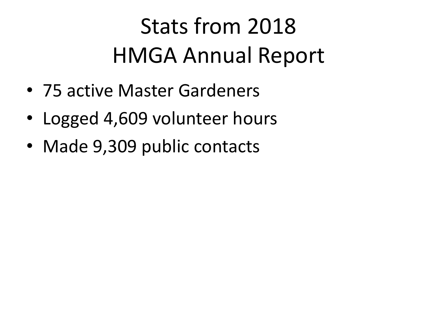### Stats from 2018 HMGA Annual Report

- 75 active Master Gardeners
- Logged 4,609 volunteer hours
- Made 9,309 public contacts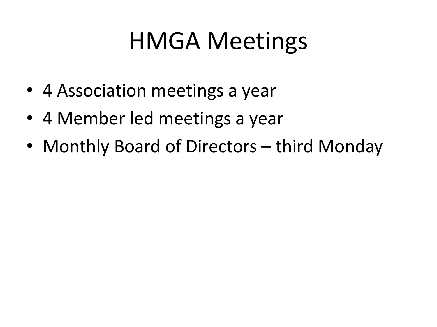### HMGA Meetings

- 4 Association meetings a year
- 4 Member led meetings a year
- Monthly Board of Directors third Monday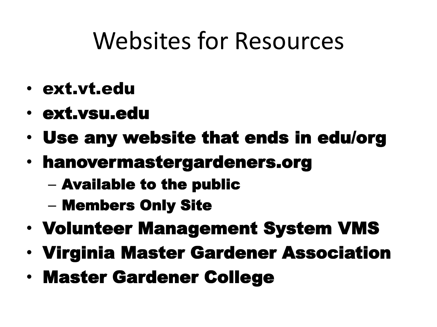### Websites for Resources

- ext.vt.edu
- ext.vsu.edu
- Use any website that ends in edu/org
- hanovermastergardeners.org
	- Available to the public
	- Members Only Site
- Volunteer Management System VMS
- Virginia Master Gardener Association
- Master Gardener College